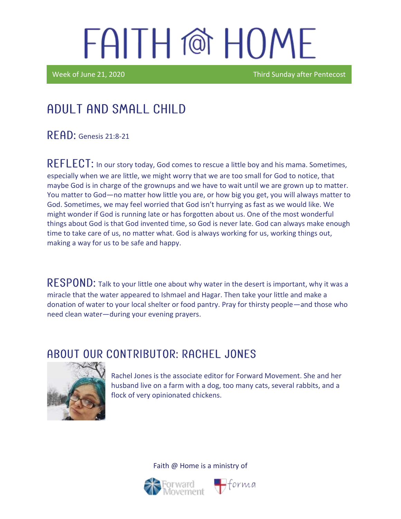Week of June 21, 2020 **Third Sunday after Pentecost** 

## Adult and Small Child

**READ:** Genesis 21:8-21

 $REFLECT$ : In our story today, God comes to rescue a little boy and his mama. Sometimes, especially when we are little, we might worry that we are too small for God to notice, that maybe God is in charge of the grownups and we have to wait until we are grown up to matter. You matter to God—no matter how little you are, or how big you get, you will always matter to God. Sometimes, we may feel worried that God isn't hurrying as fast as we would like. We might wonder if God is running late or has forgotten about us. One of the most wonderful things about God is that God invented time, so God is never late. God can always make enough time to take care of us, no matter what. God is always working for us, working things out, making a way for us to be safe and happy.

RESPOND: Talk to your little one about why water in the desert is important, why it was a miracle that the water appeared to Ishmael and Hagar. Then take your little and make a donation of water to your local shelter or food pantry. Pray for thirsty people—and those who need clean water—during your evening prayers.

#### ABOUT OUR CONTRIBUTOR: RACHEL JONES



Rachel Jones is the associate editor for Forward Movement. She and her husband live on a farm with a dog, too many cats, several rabbits, and a flock of very opinionated chickens.

Faith @ Home is a ministry of



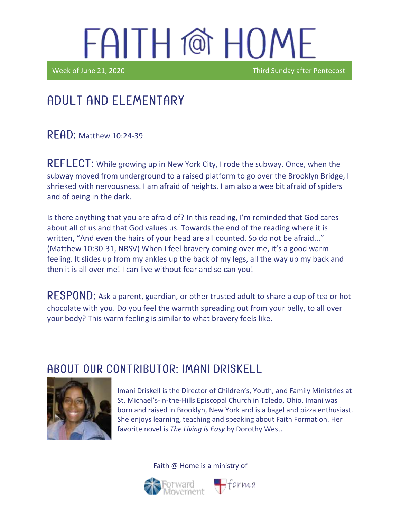Ϊ

Week of June 21, 2020 **Third Sunday after Pentecost** 

### Adult and elementary

**RFAD: Matthew 10:24-39** 

REFLECT: While growing up in New York City, I rode the subway. Once, when the subway moved from underground to a raised platform to go over the Brooklyn Bridge, I shrieked with nervousness. I am afraid of heights. I am also a wee bit afraid of spiders and of being in the dark.

Is there anything that you are afraid of? In this reading, I'm reminded that God cares about all of us and that God values us. Towards the end of the reading where it is written, "And even the hairs of your head are all counted. So do not be afraid..." (Matthew 10:30-31, NRSV) When I feel bravery coming over me, it's a good warm feeling. It slides up from my ankles up the back of my legs, all the way up my back and then it is all over me! I can live without fear and so can you!

RESPOND: Ask a parent, guardian, or other trusted adult to share a cup of tea or hot chocolate with you. Do you feel the warmth spreading out from your belly, to all over your body? This warm feeling is similar to what bravery feels like.

#### A BOUT OUR CONTRIBUTOR: IMANI DRISKELL



Imani Driskell is the Director of Children's, Youth, and Family Ministries at St. Michael's-in-the-Hills Episcopal Church in Toledo, Ohio. Imani was born and raised in Brooklyn, New York and is a bagel and pizza enthusiast. She enjoys learning, teaching and speaking about Faith Formation. Her favorite novel is *The Living is Easy* by Dorothy West.





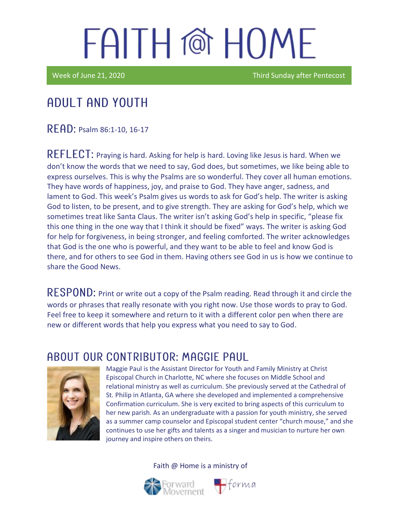Week of June 21, 2020 **Third Sunday after Pentecost** 

### Adult and youth

READ: Psalm 86:1-10, 16-17

REFLECT: Praying is hard. Asking for help is hard. Loving like Jesus is hard. When we don't know the words that we need to say, God does, but sometimes, we like being able to express ourselves. This is why the Psalms are so wonderful. They cover all human emotions. They have words of happiness, joy, and praise to God. They have anger, sadness, and lament to God. This week's Psalm gives us words to ask for God's help. The writer is asking God to listen, to be present, and to give strength. They are asking for God's help, which we sometimes treat like Santa Claus. The writer isn't asking God's help in specific, "please fix this one thing in the one way that I think it should be fixed" ways. The writer is asking God for help for forgiveness, in being stronger, and feeling comforted. The writer acknowledges that God is the one who is powerful, and they want to be able to feel and know God is there, and for others to see God in them. Having others see God in us is how we continue to share the Good News.

RESPOND: Print or write out a copy of the Psalm reading. Read through it and circle the words or phrases that really resonate with you right now. Use those words to pray to God. Feel free to keep it somewhere and return to it with a different color pen when there are new or different words that help you express what you need to say to God.

#### ABOUT OUR CONTRIBUTOR: MAGGIE PAUL



Maggie Paul is the Assistant Director for Youth and Family Ministry at Christ Episcopal Church in Charlotte, NC where she focuses on Middle School and relational ministry as well as curriculum. She previously served at the Cathedral of St. Philip in Atlanta, GA where she developed and implemented a comprehensive Confirmation curriculum. She is very excited to bring aspects of this curriculum to her new parish. As an undergraduate with a passion for youth ministry, she served as a summer camp counselor and Episcopal student center "church mouse," and she continues to use her gifts and talents as a singer and musician to nurture her own journey and inspire others on theirs.

Faith @ Home is a ministry of